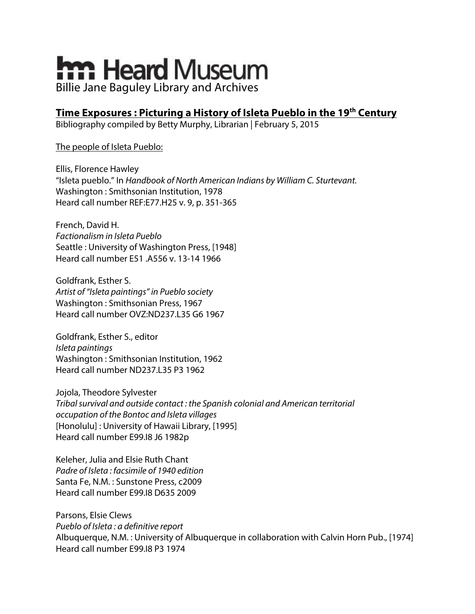# **hm Heard Museum** Billie Jane Baguley Library and Archives

## **Time Exposures : Picturing a History of Isleta Pueblo in the 19th Century**

Bibliography compiled by Betty Murphy, Librarian | February 5, 2015

#### The people of Isleta Pueblo:

Ellis, Florence Hawley "Isleta pueblo." In *Handbook of North American Indians by William C. Sturtevant.* Washington : Smithsonian Institution, 1978 Heard call number REF:E77.H25 v. 9, p. 351-365

French, David H. *Factionalism in Isleta Pueblo* Seattle : University of Washington Press, [1948] Heard call number E51 .A556 v. 13-14 1966

Goldfrank, Esther S. *Artist of "Isleta paintings" in Pueblo society* Washington : Smithsonian Press, 1967 Heard call number OVZ:ND237.L35 G6 1967

Goldfrank, Esther S., editor *Isleta paintings* Washington : Smithsonian Institution, 1962 Heard call number ND237.L35 P3 1962

Jojola, Theodore Sylvester *Tribal survival and outside contact : the Spanish colonial and American territorial occupation of the Bontoc and Isleta villages* [Honolulu] : University of Hawaii Library, [1995] Heard call number E99.I8 J6 1982p

Keleher, Julia and Elsie Ruth Chant *Padre of Isleta : facsimile of 1940 edition* Santa Fe, N.M. : Sunstone Press, c2009 Heard call number E99.I8 D635 2009

Parsons, Elsie Clews *Pueblo of Isleta : a definitive report* Albuquerque, N.M. : University of Albuquerque in collaboration with Calvin Horn Pub., [1974] Heard call number E99.I8 P3 1974